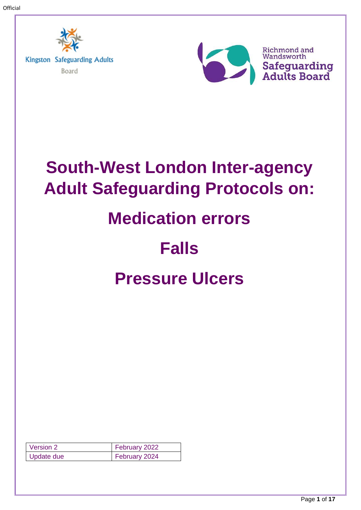



## **South-West London Inter-agency Adult Safeguarding Protocols on:**

## **Medication errors**

# **Falls**

## **Pressure Ulcers**

| Version 2  | February 2022 |  |  |
|------------|---------------|--|--|
| Update due | February 2024 |  |  |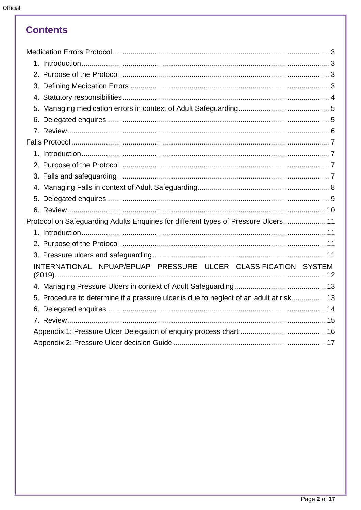## **Contents**

| Protocol on Safeguarding Adults Enquiries for different types of Pressure Ulcers 11    |  |
|----------------------------------------------------------------------------------------|--|
|                                                                                        |  |
|                                                                                        |  |
|                                                                                        |  |
| INTERNATIONAL NPUAP/EPUAP PRESSURE ULCER CLASSIFICATION SYSTEM                         |  |
|                                                                                        |  |
| 5. Procedure to determine if a pressure ulcer is due to neglect of an adult at risk 13 |  |
|                                                                                        |  |
|                                                                                        |  |
|                                                                                        |  |
|                                                                                        |  |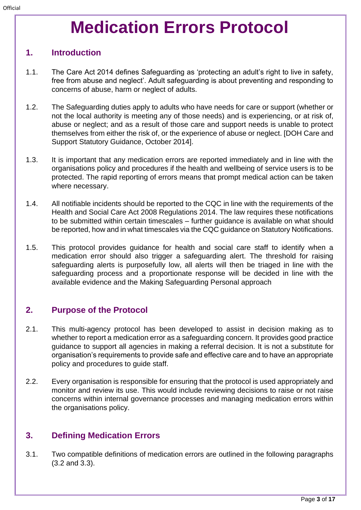## **Medication Errors Protocol**

#### <span id="page-2-1"></span><span id="page-2-0"></span>**1. Introduction**

- 1.1. The Care Act 2014 defines Safeguarding as 'protecting an adult's right to live in safety, free from abuse and neglect'. Adult safeguarding is about preventing and responding to concerns of abuse, harm or neglect of adults.
- 1.2. The Safeguarding duties apply to adults who have needs for care or support (whether or not the local authority is meeting any of those needs) and is experiencing, or at risk of, abuse or neglect; and as a result of those care and support needs is unable to protect themselves from either the risk of, or the experience of abuse or neglect. [DOH Care and Support Statutory Guidance, October 2014].
- 1.3. It is important that any medication errors are reported immediately and in line with the organisations policy and procedures if the health and wellbeing of service users is to be protected. The rapid reporting of errors means that prompt medical action can be taken where necessary.
- 1.4. All notifiable incidents should be reported to the CQC in line with the requirements of the Health and Social Care Act 2008 Regulations 2014. The law requires these notifications to be submitted within certain timescales – further guidance is available on what should be reported, how and in what timescales via the CQC guidance on Statutory Notifications.
- 1.5. This protocol provides guidance for health and social care staff to identify when a medication error should also trigger a safeguarding alert. The threshold for raising safeguarding alerts is purposefully low, all alerts will then be triaged in line with the safeguarding process and a proportionate response will be decided in line with the available evidence and the Making Safeguarding Personal approach

### <span id="page-2-2"></span>**2. Purpose of the Protocol**

- 2.1. This multi-agency protocol has been developed to assist in decision making as to whether to report a medication error as a safeguarding concern. It provides good practice guidance to support all agencies in making a referral decision. It is not a substitute for organisation's requirements to provide safe and effective care and to have an appropriate policy and procedures to guide staff.
- 2.2. Every organisation is responsible for ensuring that the protocol is used appropriately and monitor and review its use. This would include reviewing decisions to raise or not raise concerns within internal governance processes and managing medication errors within the organisations policy.

## <span id="page-2-3"></span>**3. Defining Medication Errors**

3.1. Two compatible definitions of medication errors are outlined in the following paragraphs (3.2 and 3.3).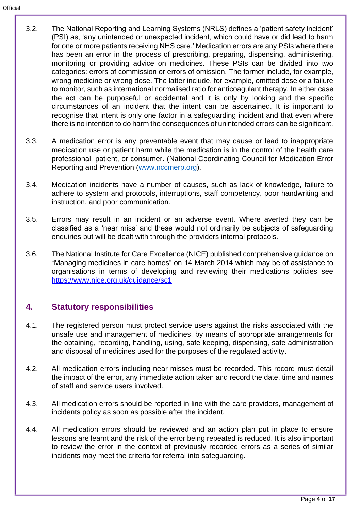- 3.2. The National Reporting and Learning Systems (NRLS) defines a 'patient safety incident' (PSI) as, 'any unintended or unexpected incident, which could have or did lead to harm for one or more patients receiving NHS care.' Medication errors are any PSIs where there has been an error in the process of prescribing, preparing, dispensing, administering, monitoring or providing advice on medicines. These PSIs can be divided into two categories: errors of commission or errors of omission. The former include, for example, wrong medicine or wrong dose. The latter include, for example, omitted dose or a failure to monitor, such as international normalised ratio for anticoagulant therapy. In either case the act can be purposeful or accidental and it is only by looking and the specific circumstances of an incident that the intent can be ascertained. It is important to recognise that intent is only one factor in a safeguarding incident and that even where there is no intention to do harm the consequences of unintended errors can be significant.
- 3.3. A medication error is any preventable event that may cause or lead to inappropriate medication use or patient harm while the medication is in the control of the health care professional, patient, or consumer. (National Coordinating Council for Medication Error Reporting and Prevention [\(www.nccmerp.org\)](http://www.nccmerp.org/).
- 3.4. Medication incidents have a number of causes, such as lack of knowledge, failure to adhere to system and protocols, interruptions, staff competency, poor handwriting and instruction, and poor communication.
- 3.5. Errors may result in an incident or an adverse event. Where averted they can be classified as a 'near miss' and these would not ordinarily be subjects of safeguarding enquiries but will be dealt with through the providers internal protocols.
- 3.6. The National Institute for Care Excellence (NICE) published comprehensive guidance on "Managing medicines in care homes" on 14 March 2014 which may be of assistance to organisations in terms of developing and reviewing their medications policies see <https://www.nice.org.uk/guidance/sc1>

#### <span id="page-3-0"></span>**4. Statutory responsibilities**

- 4.1. The registered person must protect service users against the risks associated with the unsafe use and management of medicines, by means of appropriate arrangements for the obtaining, recording, handling, using, safe keeping, dispensing, safe administration and disposal of medicines used for the purposes of the regulated activity.
- 4.2. All medication errors including near misses must be recorded. This record must detail the impact of the error, any immediate action taken and record the date, time and names of staff and service users involved.
- 4.3. All medication errors should be reported in line with the care providers, management of incidents policy as soon as possible after the incident.
- 4.4. All medication errors should be reviewed and an action plan put in place to ensure lessons are learnt and the risk of the error being repeated is reduced. It is also important to review the error in the context of previously recorded errors as a series of similar incidents may meet the criteria for referral into safeguarding.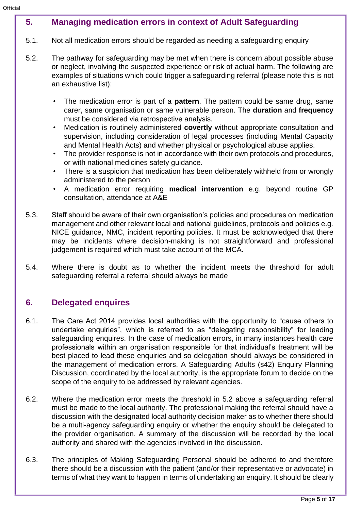#### **Official**

#### <span id="page-4-0"></span>**5. Managing medication errors in context of Adult Safeguarding**

- 5.1. Not all medication errors should be regarded as needing a safeguarding enquiry
- 5.2. The pathway for safeguarding may be met when there is concern about possible abuse or neglect, involving the suspected experience or risk of actual harm. The following are examples of situations which could trigger a safeguarding referral (please note this is not an exhaustive list):
	- The medication error is part of a **pattern**. The pattern could be same drug, same carer, same organisation or same vulnerable person. The **duration** and **frequency** must be considered via retrospective analysis.
	- Medication is routinely administered **covertly** without appropriate consultation and supervision, including consideration of legal processes (including Mental Capacity and Mental Health Acts) and whether physical or psychological abuse applies.
	- The provider response is not in accordance with their own protocols and procedures, or with national medicines safety guidance.
	- There is a suspicion that medication has been deliberately withheld from or wrongly administered to the person
	- A medication error requiring **medical intervention** e.g. beyond routine GP consultation, attendance at A&E
- 5.3. Staff should be aware of their own organisation's policies and procedures on medication management and other relevant local and national guidelines, protocols and policies e.g. NICE guidance, NMC, incident reporting policies. It must be acknowledged that there may be incidents where decision-making is not straightforward and professional judgement is required which must take account of the MCA.
- 5.4. Where there is doubt as to whether the incident meets the threshold for adult safeguarding referral a referral should always be made

### <span id="page-4-1"></span>**6. Delegated enquires**

- 6.1. The Care Act 2014 provides local authorities with the opportunity to "cause others to undertake enquiries", which is referred to as "delegating responsibility" for leading safeguarding enquires. In the case of medication errors, in many instances health care professionals within an organisation responsible for that individual's treatment will be best placed to lead these enquiries and so delegation should always be considered in the management of medication errors. A Safeguarding Adults (s42) Enquiry Planning Discussion, coordinated by the local authority, is the appropriate forum to decide on the scope of the enquiry to be addressed by relevant agencies.
- 6.2. Where the medication error meets the threshold in 5.2 above a safeguarding referral must be made to the local authority. The professional making the referral should have a discussion with the designated local authority decision maker as to whether there should be a multi-agency safeguarding enquiry or whether the enquiry should be delegated to the provider organisation. A summary of the discussion will be recorded by the local authority and shared with the agencies involved in the discussion.
- 6.3. The principles of Making Safeguarding Personal should be adhered to and therefore there should be a discussion with the patient (and/or their representative or advocate) in terms of what they want to happen in terms of undertaking an enquiry. It should be clearly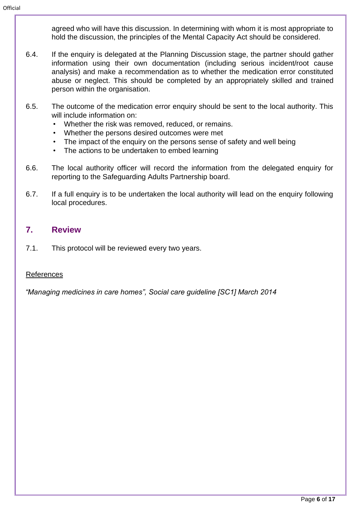agreed who will have this discussion. In determining with whom it is most appropriate to hold the discussion, the principles of the Mental Capacity Act should be considered.

- 6.4. If the enquiry is delegated at the Planning Discussion stage, the partner should gather information using their own documentation (including serious incident/root cause analysis) and make a recommendation as to whether the medication error constituted abuse or neglect. This should be completed by an appropriately skilled and trained person within the organisation.
- 6.5. The outcome of the medication error enquiry should be sent to the local authority. This will include information on:
	- Whether the risk was removed, reduced, or remains.
	- Whether the persons desired outcomes were met
	- The impact of the enquiry on the persons sense of safety and well being
	- The actions to be undertaken to embed learning
- 6.6. The local authority officer will record the information from the delegated enquiry for reporting to the Safeguarding Adults Partnership board.
- 6.7. If a full enquiry is to be undertaken the local authority will lead on the enquiry following local procedures.

#### <span id="page-5-0"></span>**7. Review**

7.1. This protocol will be reviewed every two years.

#### References

*"Managing medicines in care homes", Social care guideline [SC1] March 2014*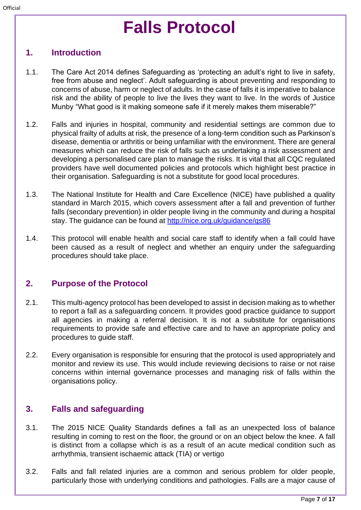# **Falls Protocol**

## <span id="page-6-1"></span><span id="page-6-0"></span>**1. Introduction**

- 1.1. The Care Act 2014 defines Safeguarding as 'protecting an adult's right to live in safety, free from abuse and neglect'. Adult safeguarding is about preventing and responding to concerns of abuse, harm or neglect of adults. In the case of falls it is imperative to balance risk and the ability of people to live the lives they want to live. In the words of Justice Munby "What good is it making someone safe if it merely makes them miserable?"
- 1.2. Falls and injuries in hospital, community and residential settings are common due to physical frailty of adults at risk, the presence of a long-term condition such as Parkinson's disease, dementia or arthritis or being unfamiliar with the environment. There are general measures which can reduce the risk of falls such as undertaking a risk assessment and developing a personalised care plan to manage the risks. It is vital that all CQC regulated providers have well documented policies and protocols which highlight best practice in their organisation. Safeguarding is not a substitute for good local procedures.
- 1.3. The National Institute for Health and Care Excellence (NICE) have published a quality standard in March 2015, which covers assessment after a fall and prevention of further falls (secondary prevention) in older people living in the community and during a hospital stay. The guidance can be found a[t](http://nice.org.uk/guidance/qs86) <http://nice.org.uk/guidance/qs86>
- 1.4. This protocol will enable health and social care staff to identify when a fall could have been caused as a result of neglect and whether an enquiry under the safeguarding procedures should take place.

### <span id="page-6-2"></span>**2. Purpose of the Protocol**

- 2.1. This multi-agency protocol has been developed to assist in decision making as to whether to report a fall as a safeguarding concern. It provides good practice guidance to support all agencies in making a referral decision. It is not a substitute for organisations requirements to provide safe and effective care and to have an appropriate policy and procedures to guide staff.
- 2.2. Every organisation is responsible for ensuring that the protocol is used appropriately and monitor and review its use. This would include reviewing decisions to raise or not raise concerns within internal governance processes and managing risk of falls within the organisations policy.

### <span id="page-6-3"></span>**3. Falls and safeguarding**

- 3.1. The 2015 NICE Quality Standards defines a fall as an unexpected loss of balance resulting in coming to rest on the floor, the ground or on an object below the knee. A fall is distinct from a collapse which is as a result of an acute medical condition such as arrhythmia, transient ischaemic attack (TIA) or vertigo
- 3.2. Falls and fall related injuries are a common and serious problem for older people, particularly those with underlying conditions and pathologies. Falls are a major cause of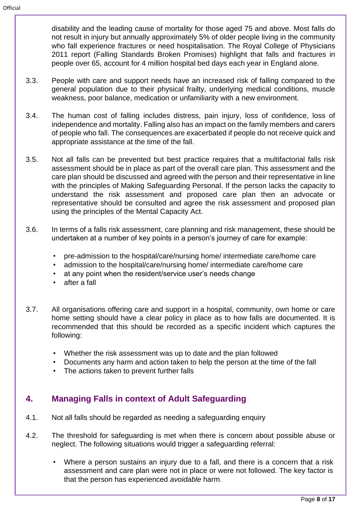disability and the leading cause of mortality for those aged 75 and above. Most falls do not result in injury but annually approximately 5% of older people living in the community who fall experience fractures or need hospitalisation. The Royal College of Physicians 2011 report (Falling Standards Broken Promises) highlight that falls and fractures in people over 65, account for 4 million hospital bed days each year in England alone.

- 3.3. People with care and support needs have an increased risk of falling compared to the general population due to their physical frailty, underlying medical conditions, muscle weakness, poor balance, medication or unfamiliarity with a new environment.
- 3.4. The human cost of falling includes distress, pain injury, loss of confidence, loss of independence and mortality. Falling also has an impact on the family members and carers of people who fall. The consequences are exacerbated if people do not receive quick and appropriate assistance at the time of the fall.
- 3.5. Not all falls can be prevented but best practice requires that a multifactorial falls risk assessment should be in place as part of the overall care plan. This assessment and the care plan should be discussed and agreed with the person and their representative in line with the principles of Making Safeguarding Personal. If the person lacks the capacity to understand the risk assessment and proposed care plan then an advocate or representative should be consulted and agree the risk assessment and proposed plan using the principles of the Mental Capacity Act.
- 3.6. In terms of a falls risk assessment, care planning and risk management, these should be undertaken at a number of key points in a person's journey of care for example:
	- pre-admission to the hospital/care/nursing home/ intermediate care/home care
	- admission to the hospital/care/nursing home/ intermediate care/home care
	- at any point when the resident/service user's needs change
	- after a fall
- 3.7. All organisations offering care and support in a hospital, community, own home or care home setting should have a clear policy in place as to how falls are documented. It is recommended that this should be recorded as a specific incident which captures the following:
	- Whether the risk assessment was up to date and the plan followed
	- Documents any harm and action taken to help the person at the time of the fall
	- The actions taken to prevent further falls

#### <span id="page-7-0"></span>**4. Managing Falls in context of Adult Safeguarding**

- 4.1. Not all falls should be regarded as needing a safeguarding enquiry
- 4.2. The threshold for safeguarding is met when there is concern about possible abuse or neglect. The following situations would trigger a safeguarding referral:
	- Where a person sustains an injury due to a fall, and there is a concern that a risk assessment and care plan were not in place or were not followed. The key factor is that the person has experienced *avoidable* harm.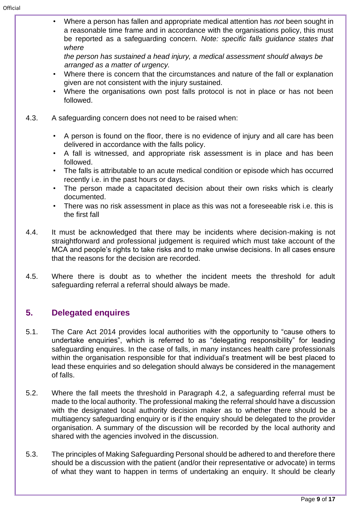• Where a person has fallen and appropriate medical attention has *not* been sought in a reasonable time frame and in accordance with the organisations policy, this must be reported as a safeguarding concern. *Note: specific falls guidance states that where* 

*the person has sustained a head injury, a medical assessment should always be arranged as a matter of urgency.* 

- Where there is concern that the circumstances and nature of the fall or explanation given are not consistent with the injury sustained.
- Where the organisations own post falls protocol is not in place or has not been followed.
- 4.3. A safeguarding concern does not need to be raised when:
	- A person is found on the floor, there is no evidence of injury and all care has been delivered in accordance with the falls policy.
	- A fall is witnessed, and appropriate risk assessment is in place and has been followed.
	- The falls is attributable to an acute medical condition or episode which has occurred recently i.e. in the past hours or days.
	- The person made a capacitated decision about their own risks which is clearly documented.
	- There was no risk assessment in place as this was not a foreseeable risk i.e. this is the first fall
- 4.4. It must be acknowledged that there may be incidents where decision-making is not straightforward and professional judgement is required which must take account of the MCA and people's rights to take risks and to make unwise decisions. In all cases ensure that the reasons for the decision are recorded.
- 4.5. Where there is doubt as to whether the incident meets the threshold for adult safeguarding referral a referral should always be made.

#### <span id="page-8-0"></span>**5. Delegated enquires**

- 5.1. The Care Act 2014 provides local authorities with the opportunity to "cause others to undertake enquiries", which is referred to as "delegating responsibility" for leading safeguarding enquires. In the case of falls, in many instances health care professionals within the organisation responsible for that individual's treatment will be best placed to lead these enquiries and so delegation should always be considered in the management of falls.
- 5.2. Where the fall meets the threshold in Paragraph 4.2, a safeguarding referral must be made to the local authority. The professional making the referral should have a discussion with the designated local authority decision maker as to whether there should be a multiagency safeguarding enquiry or is if the enquiry should be delegated to the provider organisation. A summary of the discussion will be recorded by the local authority and shared with the agencies involved in the discussion.
- 5.3. The principles of Making Safeguarding Personal should be adhered to and therefore there should be a discussion with the patient (and/or their representative or advocate) in terms of what they want to happen in terms of undertaking an enquiry. It should be clearly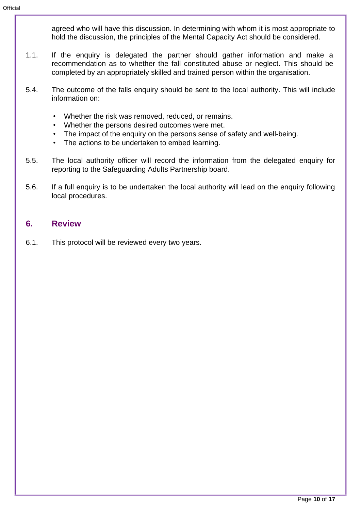agreed who will have this discussion. In determining with whom it is most appropriate to hold the discussion, the principles of the Mental Capacity Act should be considered.

- 1.1. If the enquiry is delegated the partner should gather information and make a recommendation as to whether the fall constituted abuse or neglect. This should be completed by an appropriately skilled and trained person within the organisation.
- 5.4. The outcome of the falls enquiry should be sent to the local authority. This will include information on:
	- Whether the risk was removed, reduced, or remains.
	- Whether the persons desired outcomes were met.
	- The impact of the enquiry on the persons sense of safety and well-being.
	- The actions to be undertaken to embed learning.
- 5.5. The local authority officer will record the information from the delegated enquiry for reporting to the Safeguarding Adults Partnership board.
- 5.6. If a full enquiry is to be undertaken the local authority will lead on the enquiry following local procedures.

#### <span id="page-9-0"></span>**6. Review**

6.1. This protocol will be reviewed every two years.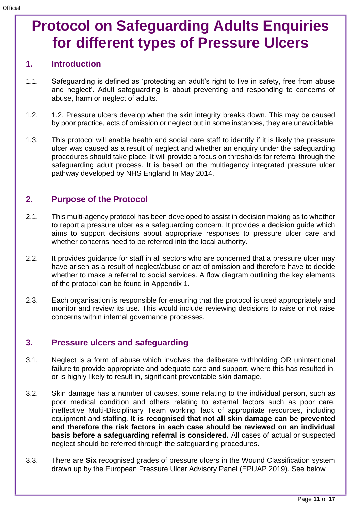## <span id="page-10-0"></span>**Protocol on Safeguarding Adults Enquiries for different types of Pressure Ulcers**

#### <span id="page-10-1"></span>**1. Introduction**

- 1.1. Safeguarding is defined as 'protecting an adult's right to live in safety, free from abuse and neglect'. Adult safeguarding is about preventing and responding to concerns of abuse, harm or neglect of adults.
- 1.2. 1.2. Pressure ulcers develop when the skin integrity breaks down. This may be caused by poor practice, acts of omission or neglect but in some instances, they are unavoidable.
- 1.3. This protocol will enable health and social care staff to identify if it is likely the pressure ulcer was caused as a result of neglect and whether an enquiry under the safeguarding procedures should take place. It will provide a focus on thresholds for referral through the safeguarding adult process. It is based on the multiagency integrated pressure ulcer pathway developed by NHS England In May 2014.

### <span id="page-10-2"></span>**2. Purpose of the Protocol**

- 2.1. This multi-agency protocol has been developed to assist in decision making as to whether to report a pressure ulcer as a safeguarding concern. It provides a decision guide which aims to support decisions about appropriate responses to pressure ulcer care and whether concerns need to be referred into the local authority.
- 2.2. It provides guidance for staff in all sectors who are concerned that a pressure ulcer may have arisen as a result of neglect/abuse or act of omission and therefore have to decide whether to make a referral to social services. A flow diagram outlining the key elements of the protocol can be found in Appendix 1.
- 2.3. Each organisation is responsible for ensuring that the protocol is used appropriately and monitor and review its use. This would include reviewing decisions to raise or not raise concerns within internal governance processes.

### <span id="page-10-3"></span>**3. Pressure ulcers and safeguarding**

- 3.1. Neglect is a form of abuse which involves the deliberate withholding OR unintentional failure to provide appropriate and adequate care and support, where this has resulted in, or is highly likely to result in, significant preventable skin damage.
- 3.2. Skin damage has a number of causes, some relating to the individual person, such as poor medical condition and others relating to external factors such as poor care, ineffective Multi-Disciplinary Team working, lack of appropriate resources, including equipment and staffing. **It is recognised that not all skin damage can be prevented and therefore the risk factors in each case should be reviewed on an individual basis before a safeguarding referral is considered.** All cases of actual or suspected neglect should be referred through the safeguarding procedures.
- 3.3. There are **Six** recognised grades of pressure ulcers in the Wound Classification system drawn up by the European Pressure Ulcer Advisory Panel (EPUAP 2019). See below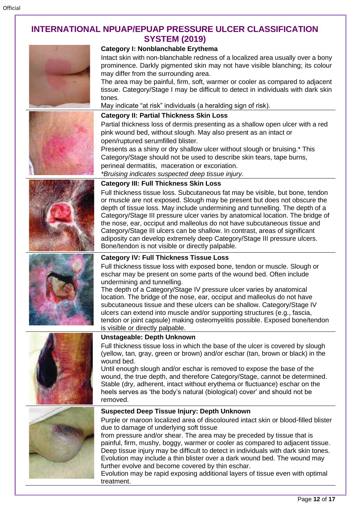#### <span id="page-11-0"></span>**INTERNATIONAL NPUAP/EPUAP PRESSURE ULCER CLASSIFICATION SYSTEM (2019)**





Intact skin with non-blanchable redness of a localized area usually over a bony prominence. Darkly pigmented skin may not have visible blanching; its colour may differ from the surrounding area.

The area may be painful, firm, soft, warmer or cooler as compared to adjacent tissue. Category/Stage I may be difficult to detect in individuals with dark skin tones.

May indicate "at risk" individuals (a heralding sign of risk).

#### **Category II: Partial Thickness Skin Loss**

Partial thickness loss of dermis presenting as a shallow open ulcer with a red pink wound bed, without slough. May also present as an intact or open/ruptured serumfilled blister.

Presents as a shiny or dry shallow ulcer without slough or bruising.\* This Category/Stage should not be used to describe skin tears, tape burns, perineal dermatitis, maceration or excoriation.

Full thickness tissue loss. Subcutaneous fat may be visible, but bone, tendon or muscle are not exposed. Slough may be present but does not obscure the depth of tissue loss. May include undermining and tunnelling. The depth of a Category/Stage III pressure ulcer varies by anatomical location. The bridge of the nose, ear, occiput and malleolus do not have subcutaneous tissue and Category/Stage III ulcers can be shallow. In contrast, areas of significant adiposity can develop extremely deep Category/Stage III pressure ulcers.

*\*Bruising indicates suspected deep tissue injury.* 

**Category III: Full Thickness Skin Loss** 









#### **Category IV: Full Thickness Tissue Loss**

Bone/tendon is not visible or directly palpable.

Full thickness tissue loss with exposed bone, tendon or muscle. Slough or eschar may be present on some parts of the wound bed. Often include undermining and tunnelling.

The depth of a Category/Stage IV pressure ulcer varies by anatomical location. The bridge of the nose, ear, occiput and malleolus do not have subcutaneous tissue and these ulcers can be shallow. Category/Stage IV ulcers can extend into muscle and/or supporting structures (e.g., fascia, tendon or joint capsule) making osteomyelitis possible. Exposed bone/tendon is visible or directly palpable.

#### **Unstageable: Depth Unknown**

Full thickness tissue loss in which the base of the ulcer is covered by slough (yellow, tan, gray, green or brown) and/or eschar (tan, brown or black) in the wound bed.

Until enough slough and/or eschar is removed to expose the base of the wound, the true depth, and therefore Category/Stage, cannot be determined. Stable (dry, adherent, intact without erythema or fluctuance) eschar on the heels serves as 'the body's natural (biological) cover' and should not be removed.



#### **Suspected Deep Tissue Injury: Depth Unknown**

Purple or maroon localized area of discoloured intact skin or blood-filled blister due to damage of underlying soft tissue

from pressure and/or shear. The area may be preceded by tissue that is painful, firm, mushy, boggy, warmer or cooler as compared to adjacent tissue. Deep tissue injury may be difficult to detect in individuals with dark skin tones. Evolution may include a thin blister over a dark wound bed. The wound may further evolve and become covered by thin eschar.

Evolution may be rapid exposing additional layers of tissue even with optimal treatment.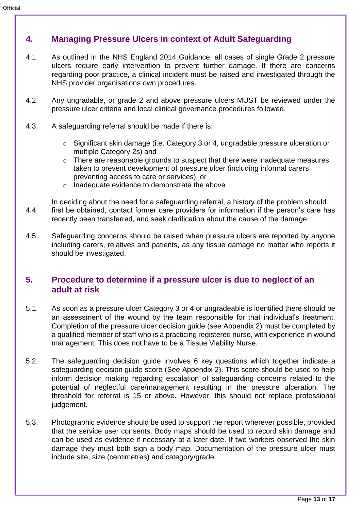#### <span id="page-12-0"></span>**4. Managing Pressure Ulcers in context of Adult Safeguarding**

- 4.1. As outlined in the NHS England 2014 Guidance, all cases of single Grade 2 pressure ulcers require early intervention to prevent further damage. If there are concerns regarding poor practice, a clinical incident must be raised and investigated through the NHS provider organisations own procedures.
- 4.2. Any ungradable, or grade 2 and above pressure ulcers MUST be reviewed under the pressure ulcer criteria and local clinical governance procedures followed.
- 4.3. A safeguarding referral should be made if there is:
	- o Significant skin damage (i.e. Category 3 or 4, ungradable pressure ulceration or multiple Category 2s) and
	- o There are reasonable grounds to suspect that there were inadequate measures taken to prevent development of pressure ulcer (including informal carers preventing access to care or services), or
	- o Inadequate evidence to demonstrate the above

In deciding about the need for a safeguarding referral, a history of the problem should 4.4. first be obtained, contact former care providers for information if the person's care has recently been transferred, and seek clarification about the cause of the damage.

4.5. Safeguarding concerns should be raised when pressure ulcers are reported by anyone including carers, relatives and patients, as any tissue damage no matter who reports it should be investigated.

#### <span id="page-12-1"></span>**5. Procedure to determine if a pressure ulcer is due to neglect of an adult at risk**

- 5.1. As soon as a pressure ulcer Category 3 or 4 or ungradeable is identified there should be an assessment of the wound by the team responsible for that individual's treatment. Completion of the pressure ulcer decision guide (see Appendix 2) must be completed by a qualified member of staff who is a practicing registered nurse, with experience in wound management. This does not have to be a Tissue Viability Nurse.
- 5.2. The safeguarding decision guide involves 6 key questions which together indicate a safeguarding decision guide score (See Appendix 2). This score should be used to help inform decision making regarding escalation of safeguarding concerns related to the potential of neglectful care/management resulting in the pressure ulceration. The threshold for referral is 15 or above. However, this should not replace professional judgement.
- 5.3. Photographic evidence should be used to support the report wherever possible, provided that the service user consents. Body maps should be used to record skin damage and can be used as evidence if necessary at a later date. If two workers observed the skin damage they must both sign a body map. Documentation of the pressure ulcer must include site, size (centimetres) and category/grade.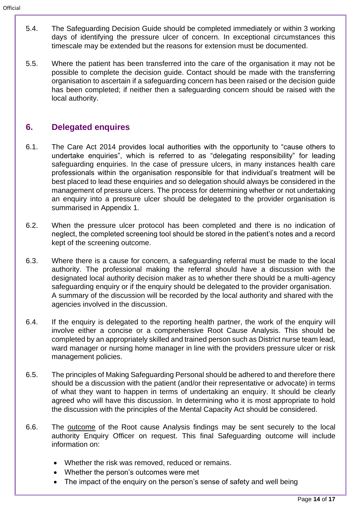- 5.4. The Safeguarding Decision Guide should be completed immediately or within 3 working days of identifying the pressure ulcer of concern. In exceptional circumstances this timescale may be extended but the reasons for extension must be documented.
- 5.5. Where the patient has been transferred into the care of the organisation it may not be possible to complete the decision guide. Contact should be made with the transferring organisation to ascertain if a safeguarding concern has been raised or the decision guide has been completed; if neither then a safeguarding concern should be raised with the local authority.

### <span id="page-13-0"></span>**6. Delegated enquires**

- 6.1. The Care Act 2014 provides local authorities with the opportunity to "cause others to undertake enquiries", which is referred to as "delegating responsibility" for leading safeguarding enquiries. In the case of pressure ulcers, in many instances health care professionals within the organisation responsible for that individual's treatment will be best placed to lead these enquiries and so delegation should always be considered in the management of pressure ulcers. The process for determining whether or not undertaking an enquiry into a pressure ulcer should be delegated to the provider organisation is summarised in Appendix 1.
- 6.2. When the pressure ulcer protocol has been completed and there is no indication of neglect, the completed screening tool should be stored in the patient's notes and a record kept of the screening outcome.
- 6.3. Where there is a cause for concern, a safeguarding referral must be made to the local authority. The professional making the referral should have a discussion with the designated local authority decision maker as to whether there should be a multi-agency safeguarding enquiry or if the enquiry should be delegated to the provider organisation. A summary of the discussion will be recorded by the local authority and shared with the agencies involved in the discussion.
- 6.4. If the enquiry is delegated to the reporting health partner, the work of the enquiry will involve either a concise or a comprehensive Root Cause Analysis. This should be completed by an appropriately skilled and trained person such as District nurse team lead, ward manager or nursing home manager in line with the providers pressure ulcer or risk management policies.
- 6.5. The principles of Making Safeguarding Personal should be adhered to and therefore there should be a discussion with the patient (and/or their representative or advocate) in terms of what they want to happen in terms of undertaking an enquiry. It should be clearly agreed who will have this discussion. In determining who it is most appropriate to hold the discussion with the principles of the Mental Capacity Act should be considered.
- 6.6. The outcome of the Root cause Analysis findings may be sent securely to the local authority Enquiry Officer on request. This final Safeguarding outcome will include information on:
	- Whether the risk was removed, reduced or remains.
	- Whether the person's outcomes were met
	- The impact of the enquiry on the person's sense of safety and well being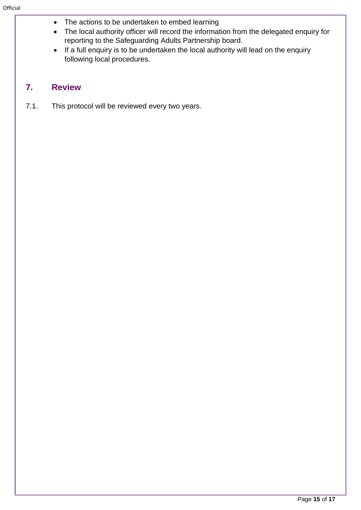- The actions to be undertaken to embed learning
- The local authority officer will record the information from the delegated enquiry for reporting to the Safeguarding Adults Partnership board.
- If a full enquiry is to be undertaken the local authority will lead on the enquiry following local procedures.

#### <span id="page-14-0"></span>**7. Review**

7.1. This protocol will be reviewed every two years.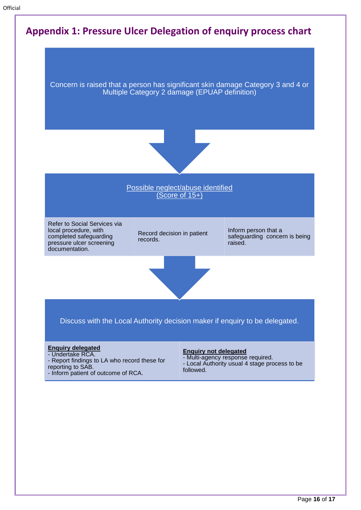<span id="page-15-0"></span>